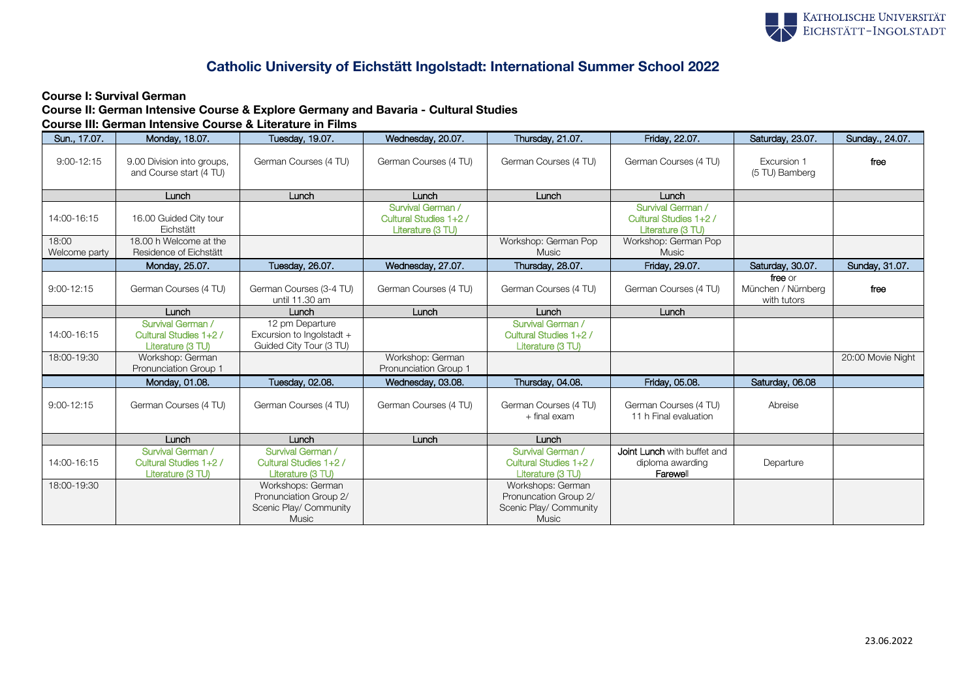

## Catholic University of Eichstätt Ingolstadt: International Summer School 2022

## Course I: Survival German

Course II: German Intensive Course & Explore Germany and Bavaria - Cultural Studies Course III: German Intensive Course & Literature in Films

| Sun., 17.07.   | Monday, 18.07.                                                   | Tuesday, 19.07.                                                                | Wednesday, 20.07.                                                | Thursday, 21.07.                                                                     | Friday, 22.07.                                                   | Saturday, 23.07.                             | Sunday., 24.07.   |
|----------------|------------------------------------------------------------------|--------------------------------------------------------------------------------|------------------------------------------------------------------|--------------------------------------------------------------------------------------|------------------------------------------------------------------|----------------------------------------------|-------------------|
| $9:00 - 12:15$ | 9.00 Division into groups,<br>and Course start (4 TU)            | German Courses (4 TU)                                                          | German Courses (4 TU)                                            | German Courses (4 TU)                                                                | German Courses (4 TU)                                            | Excursion 1<br>(5 TU) Bamberg                | free              |
|                | Lunch                                                            | Lunch                                                                          | Lunch                                                            | Lunch                                                                                | Lunch                                                            |                                              |                   |
| 14:00-16:15    | 16.00 Guided City tour<br>Eichstätt                              |                                                                                | Survival German /<br>Cultural Studies 1+2 /<br>Literature (3 TU) |                                                                                      | Survival German /<br>Cultural Studies 1+2 /<br>Literature (3 TU) |                                              |                   |
| 18:00          | 18.00 h Welcome at the                                           |                                                                                |                                                                  | Workshop: German Pop                                                                 | Workshop: German Pop                                             |                                              |                   |
| Welcome party  | Residence of Eichstätt                                           |                                                                                |                                                                  | <b>Music</b>                                                                         | <b>Music</b>                                                     |                                              |                   |
|                | Monday, 25.07.                                                   | Tuesday, 26.07.                                                                | Wednesday, 27.07.                                                | Thursday, 28.07.                                                                     | Friday, 29.07.                                                   | Saturday, 30.07.                             | Sunday, 31.07.    |
| $9:00 - 12:15$ | German Courses (4 TU)                                            | German Courses (3-4 TU)<br>until 11.30 am                                      | German Courses (4 TU)                                            | German Courses (4 TU)                                                                | German Courses (4 TU)                                            | free or<br>München / Nürnbera<br>with tutors | free              |
|                | Lunch                                                            | Lunch                                                                          | Lunch                                                            | Lunch                                                                                | Lunch                                                            |                                              |                   |
| 14:00-16:15    | Survival German /<br>Cultural Studies 1+2 /<br>Literature (3 TU) | 12 pm Departure<br>Excursion to Ingolstadt +<br>Guided City Tour (3 TU)        |                                                                  | Survival German /<br>Cultural Studies 1+2 /<br>Literature (3 TU)                     |                                                                  |                                              |                   |
| 18:00-19:30    | Workshop: German<br>Pronunciation Group 1                        |                                                                                | Workshop: German<br>Pronunciation Group 1                        |                                                                                      |                                                                  |                                              | 20:00 Movie Night |
|                | Monday, 01.08.                                                   | Tuesday, 02.08.                                                                | Wednesday, 03.08.                                                | Thursday, 04.08.                                                                     | Friday, 05.08.                                                   | Saturday, 06.08                              |                   |
| $9:00 - 12:15$ | German Courses (4 TU)                                            | German Courses (4 TU)                                                          | German Courses (4 TU)                                            | German Courses (4 TU)<br>$+$ final exam                                              | German Courses (4 TU)<br>11 h Final evaluation                   | Abreise                                      |                   |
|                | Lunch                                                            | Lunch                                                                          | Lunch                                                            | Lunch                                                                                |                                                                  |                                              |                   |
| 14:00-16:15    | Survival German /<br>Cultural Studies 1+2 /<br>Literature (3 TU) | Survival German /<br>Cultural Studies 1+2 /<br>Literature (3 TU)               |                                                                  | Survival German /<br>Cultural Studies 1+2 /<br>Literature (3 TU)                     | Joint Lunch with buffet and<br>diploma awarding<br>Farewell      | Departure                                    |                   |
| 18:00-19:30    |                                                                  | Workshops: German<br>Pronunciation Group 2/<br>Scenic Play/ Community<br>Music |                                                                  | Workshops: German<br>Pronuncation Group 2/<br>Scenic Play/ Community<br><b>Music</b> |                                                                  |                                              |                   |